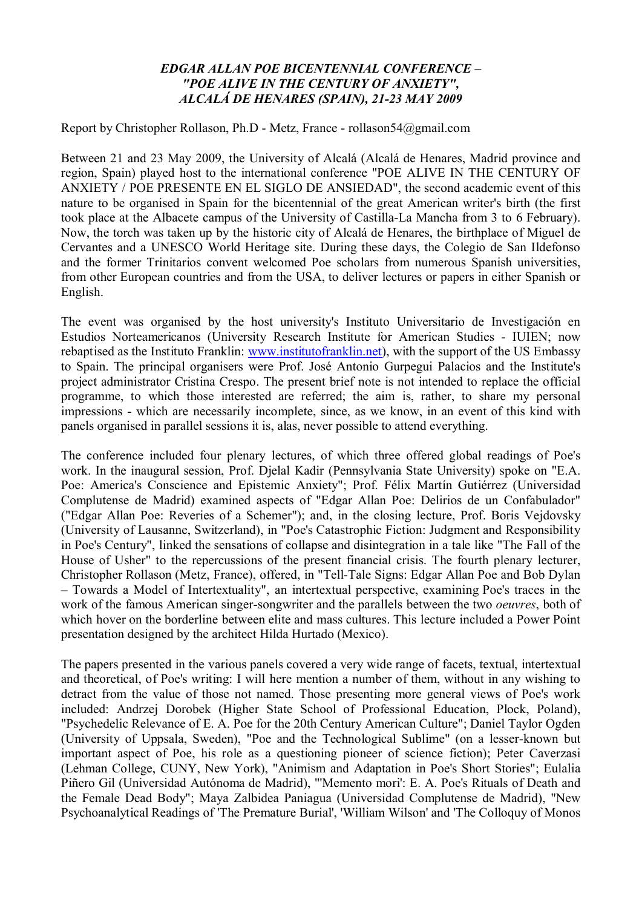## *EDGAR ALLAN POE BICENTENNIAL CONFERENCE – "POE ALIVE IN THE CENTURY OF ANXIETY", ALCALÁ DE HENARES (SPAIN), 21-23 MAY 2009*

Report by Christopher Rollason, Ph.D - Metz, France - rollason54@gmail.com

Between 21 and 23 May 2009, the University of Alcalá (Alcalá de Henares, Madrid province and region, Spain) played host to the international conference "POE ALIVE IN THE CENTURY OF ANXIETY / POE PRESENTE EN EL SIGLO DE ANSIEDAD", the second academic event of this nature to be organised in Spain for the bicentennial of the great American writer's birth (the first took place at the Albacete campus of the University of Castilla-La Mancha from 3 to 6 February). Now, the torch was taken up by the historic city of Alcalá de Henares, the birthplace of Miguel de Cervantes and a UNESCO World Heritage site. During these days, the Colegio de San Ildefonso and the former Trinitarios convent welcomed Poe scholars from numerous Spanish universities, from other European countries and from the USA, to deliver lectures or papers in either Spanish or English.

The event was organised by the host university's Instituto Universitario de Investigación en Estudios Norteamericanos (University Research Institute for American Studies - IUIEN; now rebaptised as the Instituto Franklin: www.institutofranklin.net), with the support of the US Embassy to Spain. The principal organisers were Prof. José Antonio Gurpegui Palacios and the Institute's project administrator Cristina Crespo. The present brief note is not intended to replace the official programme, to which those interested are referred; the aim is, rather, to share my personal impressions - which are necessarily incomplete, since, as we know, in an event of this kind with panels organised in parallel sessions it is, alas, never possible to attend everything.

The conference included four plenary lectures, of which three offered global readings of Poe's work. In the inaugural session, Prof. Djelal Kadir (Pennsylvania State University) spoke on "E.A. Poe: America's Conscience and Epistemic Anxiety"; Prof. Félix Martín Gutiérrez (Universidad Complutense de Madrid) examined aspects of "Edgar Allan Poe: Delirios de un Confabulador" ("Edgar Allan Poe: Reveries of a Schemer"); and, in the closing lecture, Prof. Boris Vejdovsky (University of Lausanne, Switzerland), in "Poe's Catastrophic Fiction: Judgment and Responsibility in Poe's Century", linked the sensations of collapse and disintegration in a tale like "The Fall of the House of Usher" to the repercussions of the present financial crisis. The fourth plenary lecturer, Christopher Rollason (Metz, France), offered, in "Tell-Tale Signs: Edgar Allan Poe and Bob Dylan – Towards a Model of Intertextuality", an intertextual perspective, examining Poe's traces in the work of the famous American singer-songwriter and the parallels between the two *oeuvres*, both of which hover on the borderline between elite and mass cultures. This lecture included a Power Point presentation designed by the architect Hilda Hurtado (Mexico).

The papers presented in the various panels covered a very wide range of facets, textual, intertextual and theoretical, of Poe's writing: I will here mention a number of them, without in any wishing to detract from the value of those not named. Those presenting more general views of Poe's work included: Andrzej Dorobek (Higher State School of Professional Education, Plock, Poland), "Psychedelic Relevance of E. A. Poe for the 20th Century American Culture"; Daniel Taylor Ogden (University of Uppsala, Sweden), "Poe and the Technological Sublime" (on a lesser-known but important aspect of Poe, his role as a questioning pioneer of science fiction); Peter Caverzasi (Lehman College, CUNY, New York), "Animism and Adaptation in Poe's Short Stories"; Eulalia Piñero Gil (Universidad Autónoma de Madrid), "'Memento mori': E. A. Poe's Rituals of Death and the Female Dead Body"; Maya Zalbidea Paniagua (Universidad Complutense de Madrid), "New Psychoanalytical Readings of 'The Premature Burial', 'William Wilson' and 'The Colloquy of Monos